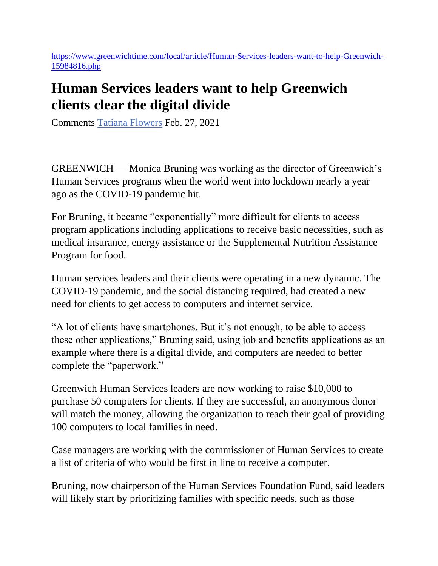[https://www.greenwichtime.com/local/article/Human-Services-leaders-want-to-help-Greenwich-](https://gcc02.safelinks.protection.outlook.com/?url=https%3A%2F%2Fwww.greenwichtime.com%2Flocal%2Farticle%2FHuman-Services-leaders-want-to-help-Greenwich-15984816.php&data=04%7C01%7CTatiana.Nichiforova%40greenwichct.org%7C0799a47950d64d5de0f108d8dbece9ee%7C0b5c882cbfa04a59b4b61e638dcf7814%7C1%7C0%7C637501157892044383%7CUnknown%7CTWFpbGZsb3d8eyJWIjoiMC4wLjAwMDAiLCJQIjoiV2luMzIiLCJBTiI6Ik1haWwiLCJXVCI6Mn0%3D%7C1000&sdata=6yYT%2FUsdJbQcvTVCVoOpide1FDzazwaNJagFkr5R%2Fbg%3D&reserved=0)[15984816.php](https://gcc02.safelinks.protection.outlook.com/?url=https%3A%2F%2Fwww.greenwichtime.com%2Flocal%2Farticle%2FHuman-Services-leaders-want-to-help-Greenwich-15984816.php&data=04%7C01%7CTatiana.Nichiforova%40greenwichct.org%7C0799a47950d64d5de0f108d8dbece9ee%7C0b5c882cbfa04a59b4b61e638dcf7814%7C1%7C0%7C637501157892044383%7CUnknown%7CTWFpbGZsb3d8eyJWIjoiMC4wLjAwMDAiLCJQIjoiV2luMzIiLCJBTiI6Ik1haWwiLCJXVCI6Mn0%3D%7C1000&sdata=6yYT%2FUsdJbQcvTVCVoOpide1FDzazwaNJagFkr5R%2Fbg%3D&reserved=0)

## **Human Services leaders want to help Greenwich clients clear the digital divide**

Comments [Tatiana Flowers](https://gcc02.safelinks.protection.outlook.com/?url=https%3A%2F%2Fwww.greenwichtime.com%2Fauthor%2Ftatiana-flowers%2F&data=04%7C01%7CTatiana.Nichiforova%40greenwichct.org%7C0799a47950d64d5de0f108d8dbece9ee%7C0b5c882cbfa04a59b4b61e638dcf7814%7C1%7C0%7C637501157892054342%7CUnknown%7CTWFpbGZsb3d8eyJWIjoiMC4wLjAwMDAiLCJQIjoiV2luMzIiLCJBTiI6Ik1haWwiLCJXVCI6Mn0%3D%7C1000&sdata=r1CHokLSg0szEQNxn%2F4H4TtdyYTgKYd6QYRSv31ew50%3D&reserved=0) Feb. 27, 2021

GREENWICH — Monica Bruning was working as the director of Greenwich's Human Services programs when the world went into lockdown nearly a year ago as the COVID-19 pandemic hit.

For Bruning, it became "exponentially" more difficult for clients to access program applications including applications to receive basic necessities, such as medical insurance, energy assistance or the Supplemental Nutrition Assistance Program for food.

Human services leaders and their clients were operating in a new dynamic. The COVID-19 pandemic, and the social distancing required, had created a new need for clients to get access to computers and internet service.

"A lot of clients have smartphones. But it's not enough, to be able to access these other applications," Bruning said, using job and benefits applications as an example where there is a digital divide, and computers are needed to better complete the "paperwork."

Greenwich Human Services leaders are now working to raise \$10,000 to purchase 50 computers for clients. If they are successful, an anonymous donor will match the money, allowing the organization to reach their goal of providing 100 computers to local families in need.

Case managers are working with the commissioner of Human Services to create a list of criteria of who would be first in line to receive a computer.

Bruning, now chairperson of the Human Services Foundation Fund, said leaders will likely start by prioritizing families with specific needs, such as those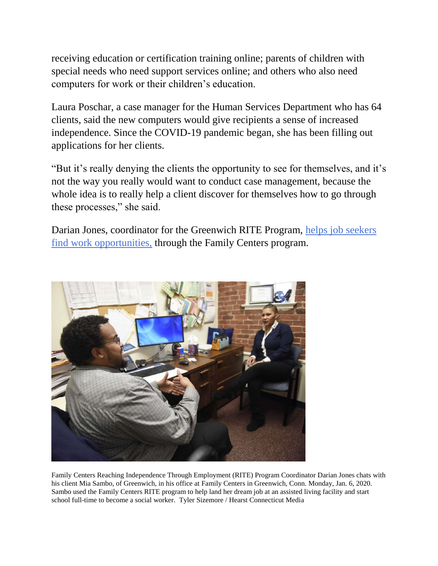receiving education or certification training online; parents of children with special needs who need support services online; and others who also need computers for work or their children's education.

Laura Poschar, a case manager for the Human Services Department who has 64 clients, said the new computers would give recipients a sense of increased independence. Since the COVID-19 pandemic began, she has been filling out applications for her clients.

"But it's really denying the clients the opportunity to see for themselves, and it's not the way you really would want to conduct case management, because the whole idea is to really help a client discover for themselves how to go through these processes," she said.

Darian Jones, coordinator for the Greenwich RITE Program, [helps job seekers](https://gcc02.safelinks.protection.outlook.com/?url=https%3A%2F%2Fwww.ctinsider.com%2Flocal%2Fgreenwichtime%2Farticle%2FRITE-program-in-Greenwich-helps-job-seekers-find-15064742.php&data=04%7C01%7CTatiana.Nichiforova%40greenwichct.org%7C0799a47950d64d5de0f108d8dbece9ee%7C0b5c882cbfa04a59b4b61e638dcf7814%7C1%7C0%7C637501157892054342%7CUnknown%7CTWFpbGZsb3d8eyJWIjoiMC4wLjAwMDAiLCJQIjoiV2luMzIiLCJBTiI6Ik1haWwiLCJXVCI6Mn0%3D%7C1000&sdata=Hstg3RTMkfyI%2BADeEE3FojsY75dfI0HOTB7gbiUBFaw%3D&reserved=0)  [find work opportunities,](https://gcc02.safelinks.protection.outlook.com/?url=https%3A%2F%2Fwww.ctinsider.com%2Flocal%2Fgreenwichtime%2Farticle%2FRITE-program-in-Greenwich-helps-job-seekers-find-15064742.php&data=04%7C01%7CTatiana.Nichiforova%40greenwichct.org%7C0799a47950d64d5de0f108d8dbece9ee%7C0b5c882cbfa04a59b4b61e638dcf7814%7C1%7C0%7C637501157892054342%7CUnknown%7CTWFpbGZsb3d8eyJWIjoiMC4wLjAwMDAiLCJQIjoiV2luMzIiLCJBTiI6Ik1haWwiLCJXVCI6Mn0%3D%7C1000&sdata=Hstg3RTMkfyI%2BADeEE3FojsY75dfI0HOTB7gbiUBFaw%3D&reserved=0) through the Family Centers program.



Family Centers Reaching Independence Through Employment (RITE) Program Coordinator Darian Jones chats with his client Mia Sambo, of Greenwich, in his office at Family Centers in Greenwich, Conn. Monday, Jan. 6, 2020. Sambo used the Family Centers RITE program to help land her dream job at an assisted living facility and start school full-time to become a social worker. Tyler Sizemore / Hearst Connecticut Media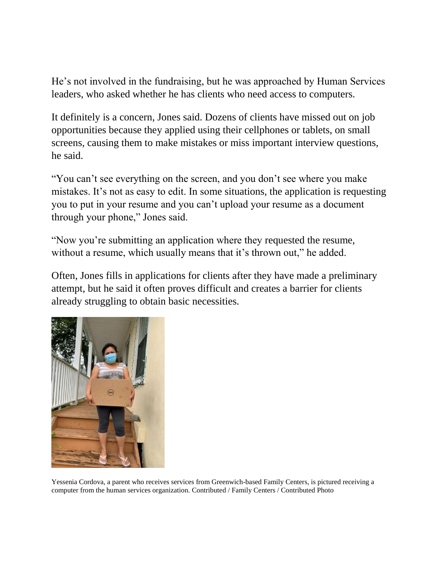He's not involved in the fundraising, but he was approached by Human Services leaders, who asked whether he has clients who need access to computers.

It definitely is a concern, Jones said. Dozens of clients have missed out on job opportunities because they applied using their cellphones or tablets, on small screens, causing them to make mistakes or miss important interview questions, he said.

"You can't see everything on the screen, and you don't see where you make mistakes. It's not as easy to edit. In some situations, the application is requesting you to put in your resume and you can't upload your resume as a document through your phone," Jones said.

"Now you're submitting an application where they requested the resume, without a resume, which usually means that it's thrown out," he added.

Often, Jones fills in applications for clients after they have made a preliminary attempt, but he said it often proves difficult and creates a barrier for clients already struggling to obtain basic necessities.



Yessenia Cordova, a parent who receives services from Greenwich-based Family Centers, is pictured receiving a computer from the human services organization. Contributed / Family Centers / Contributed Photo